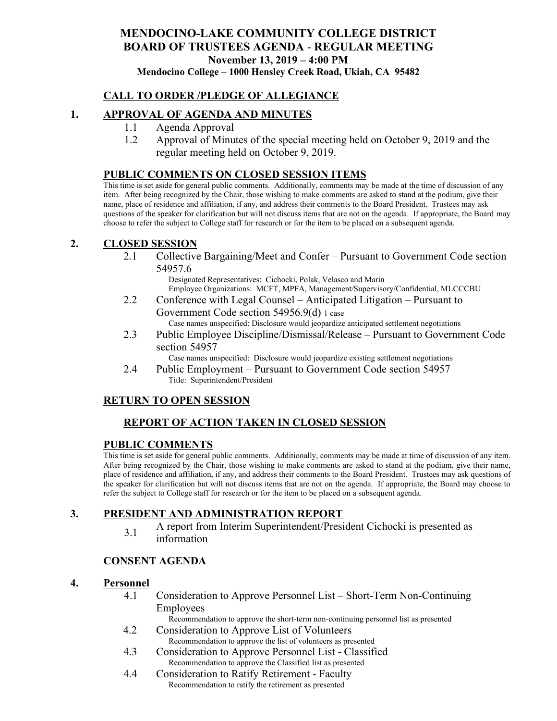# **MENDOCINO-LAKE COMMUNITY COLLEGE DISTRICT BOARD OF TRUSTEES AGENDA** - **REGULAR MEETING November 13, 2019 – 4:00 PM**

**Mendocino College – 1000 Hensley Creek Road, Ukiah, CA 95482**

## **CALL TO ORDER /PLEDGE OF ALLEGIANCE**

#### **1. APPROVAL OF AGENDA AND MINUTES**

- 1.1 Agenda Approval
- 1.2 Approval of Minutes of the special meeting held on October 9, 2019 and the regular meeting held on October 9, 2019.

#### **PUBLIC COMMENTS ON CLOSED SESSION ITEMS**

This time is set aside for general public comments. Additionally, comments may be made at the time of discussion of any item. After being recognized by the Chair, those wishing to make comments are asked to stand at the podium, give their name, place of residence and affiliation, if any, and address their comments to the Board President. Trustees may ask questions of the speaker for clarification but will not discuss items that are not on the agenda. If appropriate, the Board may choose to refer the subject to College staff for research or for the item to be placed on a subsequent agenda.

#### **2. CLOSED SESSION**

2.1 Collective Bargaining/Meet and Confer – Pursuant to Government Code section 54957.6

> Designated Representatives: Cichocki, Polak, Velasco and Marin Employee Organizations: MCFT, MPFA, Management/Supervisory/Confidential, MLCCCBU

- 2.2 Conference with Legal Counsel Anticipated Litigation Pursuant to Government Code section 54956.9(d) 1 case
- Case names unspecified: Disclosure would jeopardize anticipated settlement negotiations 2.3 Public Employee Discipline/Dismissal/Release – Pursuant to Government Code
	- section 54957
	- Case names unspecified: Disclosure would jeopardize existing settlement negotiations
- 2.4 Public Employment Pursuant to Government Code section 54957 Title: Superintendent/President

## **RETURN TO OPEN SESSION**

# **REPORT OF ACTION TAKEN IN CLOSED SESSION**

#### **PUBLIC COMMENTS**

This time is set aside for general public comments. Additionally, comments may be made at time of discussion of any item. After being recognized by the Chair, those wishing to make comments are asked to stand at the podium, give their name, place of residence and affiliation, if any, and address their comments to the Board President. Trustees may ask questions of the speaker for clarification but will not discuss items that are not on the agenda. If appropriate, the Board may choose to refer the subject to College staff for research or for the item to be placed on a subsequent agenda.

## **3. PRESIDENT AND ADMINISTRATION REPORT**

3.1 A report from Interim Superintendent/President Cichocki is presented as information

#### **CONSENT AGENDA**

#### **4. Personnel**

4.1 Consideration to Approve Personnel List – Short-Term Non-Continuing Employees

Recommendation to approve the short-term non-continuing personnel list as presented

- 4.2 Consideration to Approve List of Volunteers Recommendation to approve the list of volunteers as presented
- 4.3 Consideration to Approve Personnel List Classified Recommendation to approve the Classified list as presented
- 4.4 Consideration to Ratify Retirement Faculty Recommendation to ratify the retirement as presented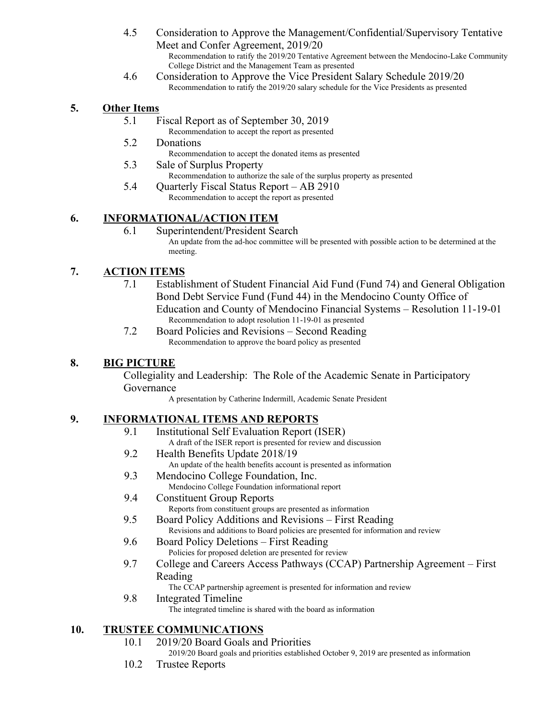- 4.5 Consideration to Approve the Management/Confidential/Supervisory Tentative Meet and Confer Agreement, 2019/20 Recommendation to ratify the 2019/20 Tentative Agreement between the Mendocino-Lake Community College District and the Management Team as presented
- 4.6 Consideration to Approve the Vice President Salary Schedule 2019/20 Recommendation to ratify the 2019/20 salary schedule for the Vice Presidents as presented

#### **5. Other Items**

- 5.1 Fiscal Report as of September 30, 2019
- Recommendation to accept the report as presented 5.2 Donations
	- Recommendation to accept the donated items as presented
- 5.3 Sale of Surplus Property Recommendation to authorize the sale of the surplus property as presented
- 5.4 Quarterly Fiscal Status Report AB 2910 Recommendation to accept the report as presented

## **6. INFORMATIONAL/ACTION ITEM**

6.1 Superintendent/President Search An update from the ad-hoc committee will be presented with possible action to be determined at the meeting.

## **7. ACTION ITEMS**

- 7.1 Establishment of Student Financial Aid Fund (Fund 74) and General Obligation Bond Debt Service Fund (Fund 44) in the Mendocino County Office of Education and County of Mendocino Financial Systems – Resolution 11-19-01 Recommendation to adopt resolution 11-19-01 as presented
- 7.2 Board Policies and Revisions Second Reading Recommendation to approve the board policy as presented

## **8. BIG PICTURE**

Collegiality and Leadership: The Role of the Academic Senate in Participatory Governance

A presentation by Catherine Indermill, Academic Senate President

## **9. INFORMATIONAL ITEMS AND REPORTS**

- 9.1 Institutional Self Evaluation Report (ISER)
	- A draft of the ISER report is presented for review and discussion
- 9.2 Health Benefits Update 2018/19
	- An update of the health benefits account is presented as information
- 9.3 Mendocino College Foundation, Inc. Mendocino College Foundation informational report
- 9.4 Constituent Group Reports Reports from constituent groups are presented as information
- 9.5 Board Policy Additions and Revisions First Reading Revisions and additions to Board policies are presented for information and review
- 9.6 Board Policy Deletions First Reading Policies for proposed deletion are presented for review
- 9.7 College and Careers Access Pathways (CCAP) Partnership Agreement First Reading

The CCAP partnership agreement is presented for information and review

9.8 Integrated Timeline

The integrated timeline is shared with the board as information

## **10. TRUSTEE COMMUNICATIONS**

- 10.1 2019/20 Board Goals and Priorities
	- 2019/20 Board goals and priorities established October 9, 2019 are presented as information
- 10.2 Trustee Reports